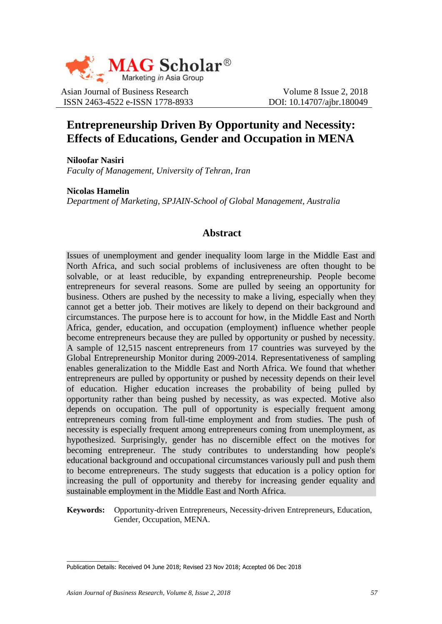

Asian Journal of Business Research Volume 8 Issue 2, 2018 ISSN 2463-4522 e-ISSN 1778-8933 DOI: 10.14707/ajbr.180049

# **Entrepreneurship Driven By Opportunity and Necessity: Effects of Educations, Gender and Occupation in MENA**

**Niloofar Nasiri** *Faculty of Management, University of Tehran, Iran*

**Nicolas Hamelin** *Department of Marketing, SPJAIN-School of Global Management, Australia*

## **Abstract**

Issues of unemployment and gender inequality loom large in the Middle East and North Africa, and such social problems of inclusiveness are often thought to be solvable, or at least reducible, by expanding entrepreneurship. People become entrepreneurs for several reasons. Some are pulled by seeing an opportunity for business. Others are pushed by the necessity to make a living, especially when they cannot get a better job. Their motives are likely to depend on their background and circumstances. The purpose here is to account for how, in the Middle East and North Africa, gender, education, and occupation (employment) influence whether people become entrepreneurs because they are pulled by opportunity or pushed by necessity. A sample of 12,515 nascent entrepreneurs from 17 countries was surveyed by the Global Entrepreneurship Monitor during 2009-2014. Representativeness of sampling enables generalization to the Middle East and North Africa. We found that whether entrepreneurs are pulled by opportunity or pushed by necessity depends on their level of education. Higher education increases the probability of being pulled by opportunity rather than being pushed by necessity, as was expected. Motive also depends on occupation. The pull of opportunity is especially frequent among entrepreneurs coming from full-time employment and from studies. The push of necessity is especially frequent among entrepreneurs coming from unemployment, as hypothesized. Surprisingly, gender has no discernible effect on the motives for becoming entrepreneur. The study contributes to understanding how people's educational background and occupational circumstances variously pull and push them to become entrepreneurs. The study suggests that education is a policy option for increasing the pull of opportunity and thereby for increasing gender equality and sustainable employment in the Middle East and North Africa.

**Keywords:** Opportunity-driven Entrepreneurs, Necessity-driven Entrepreneurs, Education, Gender, Occupation, MENA.

 $\overline{\phantom{a}}$ 

Publication Details: Received 04 June 2018; Revised 23 Nov 2018; Accepted 06 Dec 2018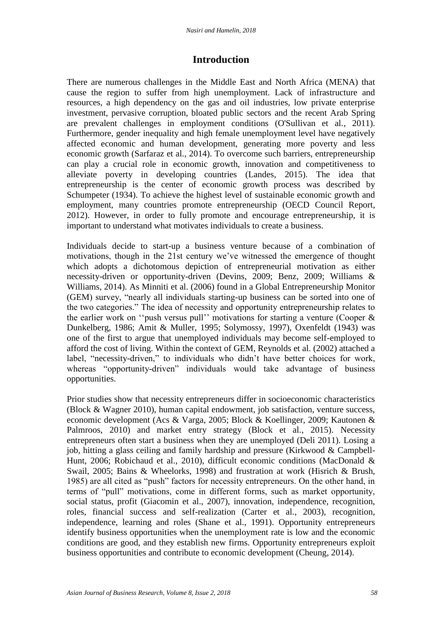## **Introduction**

There are numerous challenges in the Middle East and North Africa (MENA) that cause the region to suffer from high unemployment. Lack of infrastructure and resources, a high dependency on the gas and oil industries, low private enterprise investment, pervasive corruption, bloated public sectors and the recent Arab Spring are prevalent challenges in employment conditions (O'Sullivan et al., 2011). Furthermore, gender inequality and high female unemployment level have negatively affected economic and human development, generating more poverty and less economic growth (Sarfaraz et al., 2014). To overcome such barriers, entrepreneurship can play a crucial role in economic growth, innovation and competitiveness to alleviate poverty in developing countries (Landes, 2015). The idea that entrepreneurship is the center of economic growth process was described by Schumpeter (1934). To achieve the highest level of sustainable economic growth and employment, many countries promote entrepreneurship (OECD Council Report, 2012). However, in order to fully promote and encourage entrepreneurship, it is important to understand what motivates individuals to create a business.

Individuals decide to start-up a business venture because of a combination of motivations, though in the 21st century we've witnessed the emergence of thought which adopts a dichotomous depiction of entrepreneurial motivation as either necessity-driven or opportunity-driven (Devins, 2009; Benz, 2009; Williams & Williams, 2014). As Minniti et al. (2006) found in a Global Entrepreneurship Monitor (GEM) survey, "nearly all individuals starting-up business can be sorted into one of the two categories." The idea of necessity and opportunity entrepreneurship relates to the earlier work on "push versus pull" motivations for starting a venture (Cooper  $\&$ Dunkelberg, 1986; Amit & Muller, 1995; Solymossy, 1997), Oxenfeldt (1943) was one of the first to argue that unemployed individuals may become self-employed to afford the cost of living. Within the context of GEM, Reynolds et al. (2002) attached a label, "necessity-driven," to individuals who didn't have better choices for work, whereas "opportunity-driven" individuals would take advantage of business opportunities.

Prior studies show that necessity entrepreneurs differ in socioeconomic characteristics (Block & Wagner 2010), human capital endowment, job satisfaction, venture success, economic development (Acs & Varga, 2005; Block & Koellinger, 2009; Kautonen & Palmroos, 2010) and market entry strategy (Block et al., 2015). Necessity entrepreneurs often start a business when they are unemployed (Deli 2011). Losing a job, hitting a glass ceiling and family hardship and pressure (Kirkwood & Campbell-Hunt, 2006; Robichaud et al., 2010), difficult economic conditions (MacDonald & Swail, 2005; Bains & Wheelorks, 1998) and frustration at work (Hisrich & Brush, 1985) are all cited as "push" factors for necessity entrepreneurs. On the other hand, in terms of "pull" motivations, come in different forms, such as market opportunity, social status, profit (Giacomin et al., 2007), innovation, independence, recognition, roles, financial success and self-realization (Carter et al., 2003), recognition, independence, learning and roles (Shane et al., 1991). Opportunity entrepreneurs identify business opportunities when the unemployment rate is low and the economic conditions are good, and they establish new firms. Opportunity entrepreneurs exploit business opportunities and contribute to economic development (Cheung, 2014).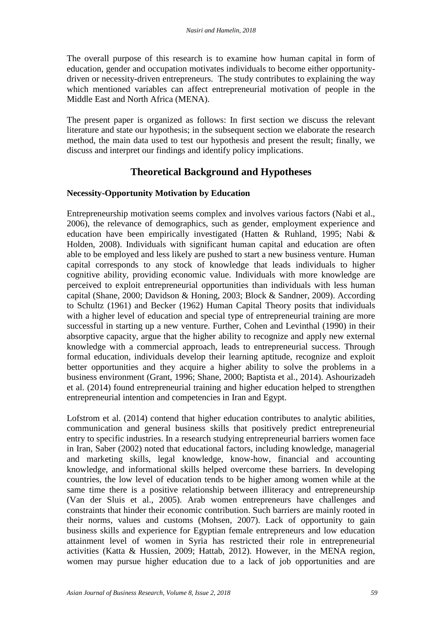The overall purpose of this research is to examine how human capital in form of education, gender and occupation motivates individuals to become either opportunitydriven or necessity-driven entrepreneurs. The study contributes to explaining the way which mentioned variables can affect entrepreneurial motivation of people in the Middle East and North Africa (MENA).

The present paper is organized as follows: In first section we discuss the relevant literature and state our hypothesis; in the subsequent section we elaborate the research method, the main data used to test our hypothesis and present the result; finally, we discuss and interpret our findings and identify policy implications.

## **Theoretical Background and Hypotheses**

### **Necessity-Opportunity Motivation by Education**

Entrepreneurship motivation seems complex and involves various factors (Nabi et al., 2006), the relevance of demographics, such as gender, employment experience and education have been empirically investigated (Hatten & Ruhland, 1995; Nabi & Holden, 2008). Individuals with significant human capital and education are often able to be employed and less likely are pushed to start a new business venture. Human capital corresponds to any stock of knowledge that leads individuals to higher cognitive ability, providing economic value. Individuals with more knowledge are perceived to exploit entrepreneurial opportunities than individuals with less human capital (Shane, 2000; Davidson & Honing, 2003; Block & Sandner, 2009). According to Schultz (1961) and Becker (1962) Human Capital Theory posits that individuals with a higher level of education and special type of entrepreneurial training are more successful in starting up a new venture. Further, Cohen and Levinthal (1990) in their absorptive capacity, argue that the higher ability to recognize and apply new external knowledge with a commercial approach, leads to entrepreneurial success. Through formal education, individuals develop their learning aptitude, recognize and exploit better opportunities and they acquire a higher ability to solve the problems in a business environment (Grant, 1996; Shane, 2000; Baptista et al., 2014). Ashourizadeh et al. (2014) found entrepreneurial training and higher education helped to strengthen entrepreneurial intention and competencies in Iran and Egypt.

Lofstrom et al. (2014) contend that higher education contributes to analytic abilities, communication and general business skills that positively predict entrepreneurial entry to specific industries. In a research studying entrepreneurial barriers women face in Iran, Saber (2002) noted that educational factors, including knowledge, managerial and marketing skills, legal knowledge, know-how, financial and accounting knowledge, and informational skills helped overcome these barriers. In developing countries, the low level of education tends to be higher among women while at the same time there is a positive relationship between illiteracy and entrepreneurship (Van der Sluis et al., 2005). Arab women entrepreneurs have challenges and constraints that hinder their economic contribution. Such barriers are mainly rooted in their norms, values and customs (Mohsen, 2007). Lack of opportunity to gain business skills and experience for Egyptian female entrepreneurs and low education attainment level of women in Syria has restricted their role in entrepreneurial activities (Katta & Hussien, 2009; Hattab, 2012). However, in the MENA region, women may pursue higher education due to a lack of job opportunities and are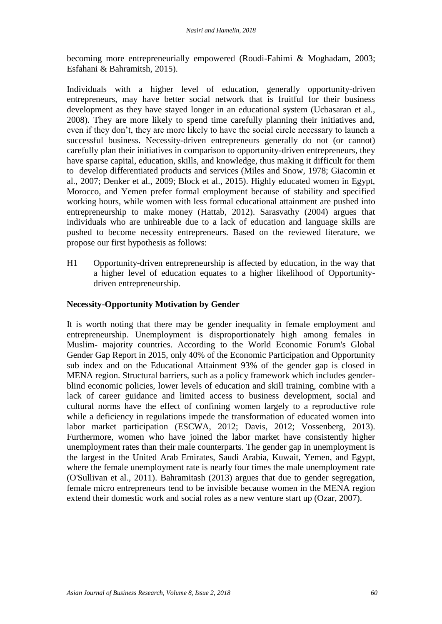becoming more entrepreneurially empowered (Roudi-Fahimi & Moghadam, 2003; Esfahani & Bahramitsh, 2015).

Individuals with a higher level of education, generally opportunity-driven entrepreneurs, may have better social network that is fruitful for their business development as they have stayed longer in an educational system (Ucbasaran et al., 2008). They are more likely to spend time carefully planning their initiatives and, even if they don't, they are more likely to have the social circle necessary to launch a successful business. Necessity-driven entrepreneurs generally do not (or cannot) carefully plan their initiatives in comparison to opportunity-driven entrepreneurs, they have sparse capital, education, skills, and knowledge, thus making it difficult for them to develop differentiated products and services (Miles and Snow, 1978; Giacomin et al., 2007; Denker et al., 2009; Block et al., 2015). Highly educated women in Egypt, Morocco, and Yemen prefer formal employment because of stability and specified working hours, while women with less formal educational attainment are pushed into entrepreneurship to make money (Hattab, 2012). Sarasvathy (2004) argues that individuals who are unhireable due to a lack of education and language skills are pushed to become necessity entrepreneurs. Based on the reviewed literature, we propose our first hypothesis as follows:

H1 Opportunity-driven entrepreneurship is affected by education, in the way that a higher level of education equates to a higher likelihood of Opportunitydriven entrepreneurship.

### **Necessity-Opportunity Motivation by Gender**

It is worth noting that there may be gender inequality in female employment and entrepreneurship. Unemployment is disproportionately high among females in Muslim- majority countries. According to the World Economic Forum's Global Gender Gap Report in 2015, only 40% of the Economic Participation and Opportunity sub index and on the Educational Attainment 93% of the gender gap is closed in MENA region. Structural barriers, such as a policy framework which includes genderblind economic policies, lower levels of education and skill training, combine with a lack of career guidance and limited access to business development, social and cultural norms have the effect of confining women largely to a reproductive role while a deficiency in regulations impede the transformation of educated women into labor market participation (ESCWA, 2012; Davis, 2012; Vossenberg, 2013). Furthermore, women who have joined the labor market have consistently higher unemployment rates than their male counterparts. The gender gap in unemployment is the largest in the United Arab Emirates, Saudi Arabia, Kuwait, Yemen, and Egypt, where the female unemployment rate is nearly four times the male unemployment rate (O'Sullivan et al., 2011). Bahramitash (2013) argues that due to gender segregation, female micro entrepreneurs tend to be invisible because women in the MENA region extend their domestic work and social roles as a new venture start up (Ozar, 2007).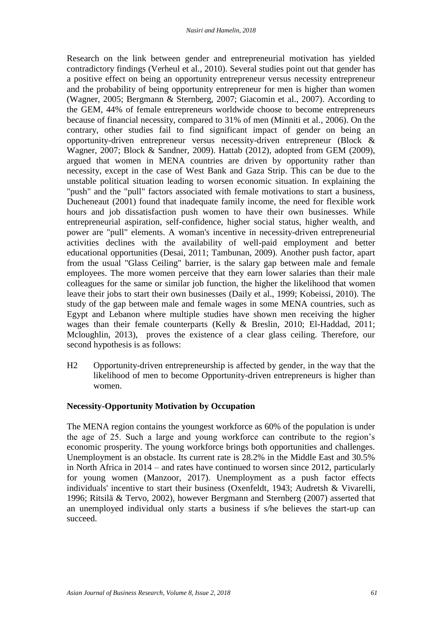Research on the link between gender and entrepreneurial motivation has yielded contradictory findings (Verheul et al., 2010). Several studies point out that gender has a positive effect on being an opportunity entrepreneur versus necessity entrepreneur and the probability of being opportunity entrepreneur for men is higher than women (Wagner, 2005; Bergmann & Sternberg, 2007; Giacomin et al., 2007). According to the GEM, 44% of female entrepreneurs worldwide choose to become entrepreneurs because of financial necessity, compared to 31% of men (Minniti et al., 2006). On the contrary, other studies fail to find significant impact of gender on being an opportunity-driven entrepreneur versus necessity-driven entrepreneur (Block & Wagner, 2007; Block & Sandner, 2009). Hattab (2012), adopted from GEM (2009), argued that women in MENA countries are driven by opportunity rather than necessity, except in the case of West Bank and Gaza Strip. This can be due to the unstable political situation leading to worsen economic situation. In explaining the "push" and the "pull" factors associated with female motivations to start a business, Ducheneaut (2001) found that inadequate family income, the need for flexible work hours and job dissatisfaction push women to have their own businesses. While entrepreneurial aspiration, self-confidence, higher social status, higher wealth, and power are "pull" elements. A woman's incentive in necessity-driven entrepreneurial activities declines with the availability of well-paid employment and better educational opportunities (Desai, 2011; Tambunan, 2009). Another push factor, apart from the usual "Glass Ceiling" barrier, is the salary gap between male and female employees. The more women perceive that they earn lower salaries than their male colleagues for the same or similar job function, the higher the likelihood that women leave their jobs to start their own businesses (Daily et al., 1999; Kobeissi, 2010). The study of the gap between male and female wages in some MENA countries, such as Egypt and Lebanon where multiple studies have shown men receiving the higher wages than their female counterparts (Kelly & Breslin, 2010; El-Haddad, 2011; Mcloughlin, 2013), proves the existence of a clear glass ceiling. Therefore, our second hypothesis is as follows:

H2 Opportunity-driven entrepreneurship is affected by gender, in the way that the likelihood of men to become Opportunity-driven entrepreneurs is higher than women.

### **Necessity-Opportunity Motivation by Occupation**

The MENA region contains the youngest workforce as 60% of the population is under the age of 25. Such a large and young workforce can contribute to the region's economic prosperity. The young workforce brings both opportunities and challenges. Unemployment is an obstacle. Its current rate is 28.2% in the Middle East and 30.5% in North Africa in 2014 – and rates have continued to worsen since 2012, particularly for young women (Manzoor, 2017). Unemployment as a push factor effects individuals' incentive to start their business (Oxenfeldt, 1943; Audretsh & Vivarelli, 1996; Ritsilä & Tervo, 2002), however Bergmann and Sternberg (2007) asserted that an unemployed individual only starts a business if s/he believes the start-up can succeed.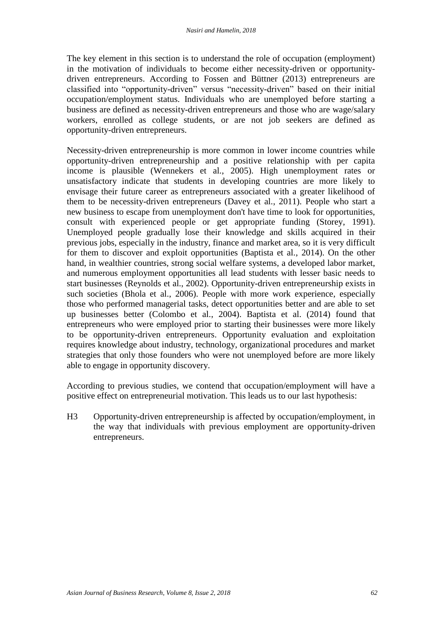The key element in this section is to understand the role of occupation (employment) in the motivation of individuals to become either necessity-driven or opportunitydriven entrepreneurs. According to Fossen and Büttner (2013) entrepreneurs are classified into "opportunity-driven" versus "necessity-driven" based on their initial occupation/employment status. Individuals who are unemployed before starting a business are defined as necessity-driven entrepreneurs and those who are wage/salary workers, enrolled as college students, or are not job seekers are defined as opportunity-driven entrepreneurs.

Necessity-driven entrepreneurship is more common in lower income countries while opportunity-driven entrepreneurship and a positive relationship with per capita income is plausible (Wennekers et al., 2005). High unemployment rates or unsatisfactory indicate that students in developing countries are more likely to envisage their future career as entrepreneurs associated with a greater likelihood of them to be necessity-driven entrepreneurs (Davey et al., 2011). People who start a new business to escape from unemployment don't have time to look for opportunities, consult with experienced people or get appropriate funding (Storey, 1991). Unemployed people gradually lose their knowledge and skills acquired in their previous jobs, especially in the industry, finance and market area, so it is very difficult for them to discover and exploit opportunities (Baptista et al., 2014). On the other hand, in wealthier countries, strong social welfare systems, a developed labor market, and numerous employment opportunities all lead students with lesser basic needs to start businesses (Reynolds et al., 2002). Opportunity-driven entrepreneurship exists in such societies (Bhola et al., 2006). People with more work experience, especially those who performed managerial tasks, detect opportunities better and are able to set up businesses better (Colombo et al., 2004). Baptista et al. (2014) found that entrepreneurs who were employed prior to starting their businesses were more likely to be opportunity-driven entrepreneurs. Opportunity evaluation and exploitation requires knowledge about industry, technology, organizational procedures and market strategies that only those founders who were not unemployed before are more likely able to engage in opportunity discovery.

According to previous studies, we contend that occupation/employment will have a positive effect on entrepreneurial motivation. This leads us to our last hypothesis:

H3 Opportunity-driven entrepreneurship is affected by occupation/employment, in the way that individuals with previous employment are opportunity-driven entrepreneurs.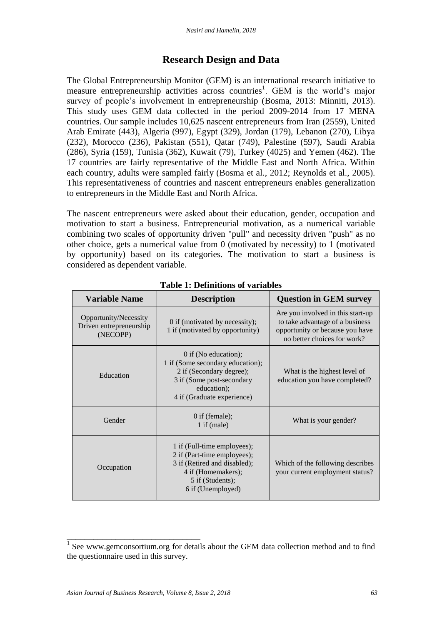## **Research Design and Data**

The Global Entrepreneurship Monitor (GEM) is an international research initiative to measure entrepreneurship activities across countries<sup>1</sup>. GEM is the world's major survey of people's involvement in entrepreneurship (Bosma, 2013: Minniti, 2013). This study uses GEM data collected in the period 2009-2014 from 17 MENA countries. Our sample includes 10,625 nascent entrepreneurs from Iran (2559), United Arab Emirate (443), Algeria (997), Egypt (329), Jordan (179), Lebanon (270), Libya (232), Morocco (236), Pakistan (551), Qatar (749), Palestine (597), Saudi Arabia (286), Syria (159), Tunisia (362), Kuwait (79), Turkey (4025) and Yemen (462). The 17 countries are fairly representative of the Middle East and North Africa. Within each country, adults were sampled fairly (Bosma et al., 2012; Reynolds et al., 2005). This representativeness of countries and nascent entrepreneurs enables generalization to entrepreneurs in the Middle East and North Africa.

The nascent entrepreneurs were asked about their education, gender, occupation and motivation to start a business. Entrepreneurial motivation, as a numerical variable combining two scales of opportunity driven "pull" and necessity driven "push" as no other choice, gets a numerical value from 0 (motivated by necessity) to 1 (motivated by opportunity) based on its categories. The motivation to start a business is considered as dependent variable.

| <b>Variable Name</b>                                         | <b>Description</b>                                                                                                                                               | <b>Question in GEM survey</b>                                                                                                          |  |  |  |
|--------------------------------------------------------------|------------------------------------------------------------------------------------------------------------------------------------------------------------------|----------------------------------------------------------------------------------------------------------------------------------------|--|--|--|
| Opportunity/Necessity<br>Driven entrepreneurship<br>(NECOPP) | 0 if (motivated by necessity);<br>1 if (motivated by opportunity)                                                                                                | Are you involved in this start-up<br>to take advantage of a business<br>opportunity or because you have<br>no better choices for work? |  |  |  |
| Education                                                    | $0$ if (No education);<br>1 if (Some secondary education);<br>2 if (Secondary degree);<br>3 if (Some post-secondary<br>education);<br>4 if (Graduate experience) | What is the highest level of<br>education you have completed?                                                                          |  |  |  |
| Gender                                                       | $0$ if (female);<br>$1$ if (male)                                                                                                                                | What is your gender?                                                                                                                   |  |  |  |
| Occupation                                                   | 1 if (Full-time employees);<br>2 if (Part-time employees);<br>3 if (Retired and disabled);<br>4 if (Homemakers);<br>5 if (Students);<br>6 if (Unemployed)        | Which of the following describes<br>your current employment status?                                                                    |  |  |  |

**Table 1: Definitions of variables**

\_\_\_\_\_\_\_\_\_\_\_\_\_\_\_\_\_\_\_\_\_\_\_\_\_\_\_\_\_\_

<sup>&</sup>lt;sup>1</sup> See www.gemconsortium.org for details about the GEM data collection method and to find the questionnaire used in this survey.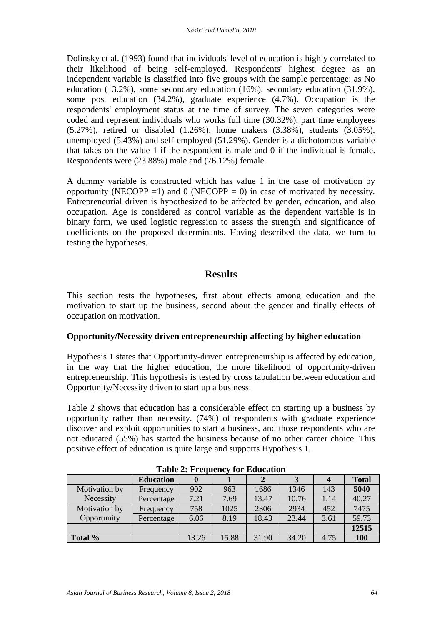Dolinsky et al. (1993) found that individuals' level of education is highly correlated to their likelihood of being self-employed. Respondents' highest degree as an independent variable is classified into five groups with the sample percentage: as No education (13.2%), some secondary education (16%), secondary education (31.9%), some post education (34.2%), graduate experience (4.7%). Occupation is the respondents' employment status at the time of survey. The seven categories were coded and represent individuals who works full time (30.32%), part time employees (5.27%), retired or disabled (1.26%), home makers (3.38%), students (3.05%), unemployed (5.43%) and self-employed (51.29%). Gender is a dichotomous variable that takes on the value 1 if the respondent is male and 0 if the individual is female. Respondents were (23.88%) male and (76.12%) female.

A dummy variable is constructed which has value 1 in the case of motivation by opportunity (NECOPP = 1) and 0 (NECOPP = 0) in case of motivated by necessity. Entrepreneurial driven is hypothesized to be affected by gender, education, and also occupation. Age is considered as control variable as the dependent variable is in binary form, we used logistic regression to assess the strength and significance of coefficients on the proposed determinants. Having described the data, we turn to testing the hypotheses.

## **Results**

This section tests the hypotheses, first about effects among education and the motivation to start up the business, second about the gender and finally effects of occupation on motivation.

### **Opportunity/Necessity driven entrepreneurship affecting by higher education**

Hypothesis 1 states that Opportunity-driven entrepreneurship is affected by education, in the way that the higher education, the more likelihood of opportunity-driven entrepreneurship. This hypothesis is tested by cross tabulation between education and Opportunity/Necessity driven to start up a business.

Table 2 shows that education has a considerable effect on starting up a business by opportunity rather than necessity. (74%) of respondents with graduate experience discover and exploit opportunities to start a business, and those respondents who are not educated (55%) has started the business because of no other career choice. This positive effect of education is quite large and supports Hypothesis 1.

| -------------- |                  |       |       |       |       |                |              |  |
|----------------|------------------|-------|-------|-------|-------|----------------|--------------|--|
|                | <b>Education</b> |       |       |       |       | $\overline{4}$ | <b>Total</b> |  |
| Motivation by  | Frequency        | 902   | 963   | 1686  | 1346  | 143            | 5040         |  |
| Necessity      | Percentage       | 7.21  | 7.69  | 13.47 | 10.76 | 1.14           | 40.27        |  |
| Motivation by  | Frequency        | 758   | 1025  | 2306  | 2934  | 452            | 7475         |  |
| Opportunity    | Percentage       | 6.06  | 8.19  | 18.43 | 23.44 | 3.61           | 59.73        |  |
|                |                  |       |       |       |       |                | 12515        |  |
| Total %        |                  | 13.26 | 15.88 | 31.90 | 34.20 | 4.75           | 100          |  |

**Table 2: Frequency for Education**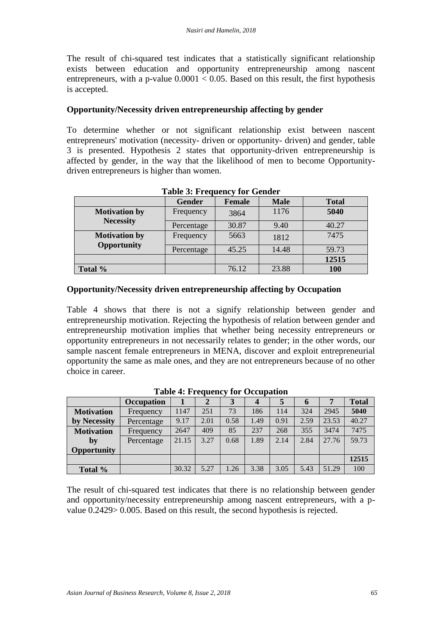The result of chi-squared test indicates that a statistically significant relationship exists between education and opportunity entrepreneurship among nascent entrepreneurs, with a p-value  $0.0001 < 0.05$ . Based on this result, the first hypothesis is accepted.

### **Opportunity/Necessity driven entrepreneurship affecting by gender**

To determine whether or not significant relationship exist between nascent entrepreneurs' motivation (necessity- driven or opportunity- driven) and gender, table 3 is presented. Hypothesis 2 states that opportunity-driven entrepreneurship is affected by gender, in the way that the likelihood of men to become Opportunitydriven entrepreneurs is higher than women.

|                                            | <b>Gender</b> | <b>Female</b> | <b>Male</b> | <b>Total</b> |  |
|--------------------------------------------|---------------|---------------|-------------|--------------|--|
| <b>Motivation by</b>                       | Frequency     | 3864          | 1176        | 5040         |  |
| <b>Necessity</b>                           | Percentage    | 30.87         | 9.40        | 40.27        |  |
| <b>Motivation by</b><br><b>Opportunity</b> | Frequency     | 5663          | 1812        | 7475         |  |
|                                            | Percentage    | 45.25         | 14.48       | 59.73        |  |
|                                            |               |               |             | 12515        |  |
| Total %                                    |               | 76.12         | 23.88       | 100          |  |

### **Table 3: Frequency for Gender**

### **Opportunity/Necessity driven entrepreneurship affecting by Occupation**

Table 4 shows that there is not a signify relationship between gender and entrepreneurship motivation. Rejecting the hypothesis of relation between gender and entrepreneurship motivation implies that whether being necessity entrepreneurs or opportunity entrepreneurs in not necessarily relates to gender; in the other words, our sample nascent female entrepreneurs in MENA, discover and exploit entrepreneurial opportunity the same as male ones, and they are not entrepreneurs because of no other choice in career.

|                   | <b>Occupation</b> |       | 2    |      |      | 5    | <sup>0</sup> |       | <b>Total</b> |
|-------------------|-------------------|-------|------|------|------|------|--------------|-------|--------------|
| <b>Motivation</b> | Frequency         | 1147  | 251  | 73   | 186  | 114  | 324          | 2945  | 5040         |
| by Necessity      | Percentage        | 9.17  | 2.01 | 0.58 | 1.49 | 0.91 | 2.59         | 23.53 | 40.27        |
| <b>Motivation</b> | Frequency         | 2647  | 409  | 85   | 237  | 268  | 355          | 3474  | 7475         |
| by                | Percentage        | 21.15 | 3.27 | 0.68 | 1.89 | 2.14 | 2.84         | 27.76 | 59.73        |
| Opportunity       |                   |       |      |      |      |      |              |       |              |
|                   |                   |       |      |      |      |      |              |       | 12515        |
| Total %           |                   | 30.32 | 5.27 | 1.26 | 3.38 | 3.05 | 5.43         | 51.29 | 100          |

**Table 4: Frequency for Occupation**

The result of chi-squared test indicates that there is no relationship between gender and opportunity/necessity entrepreneurship among nascent entrepreneurs, with a pvalue 0.2429> 0.005. Based on this result, the second hypothesis is rejected.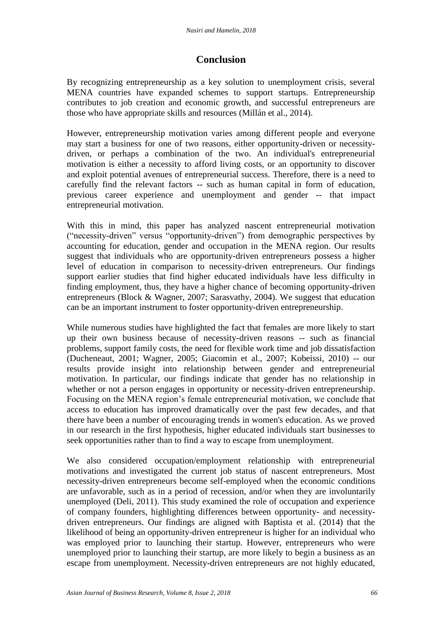## **Conclusion**

By recognizing entrepreneurship as a key solution to unemployment crisis, several MENA countries have expanded schemes to support startups. Entrepreneurship contributes to job creation and economic growth, and successful entrepreneurs are those who have appropriate skills and resources (Millán et al., 2014).

However, entrepreneurship motivation varies among different people and everyone may start a business for one of two reasons, either opportunity-driven or necessitydriven, or perhaps a combination of the two. An individual's entrepreneurial motivation is either a necessity to afford living costs, or an opportunity to discover and exploit potential avenues of entrepreneurial success. Therefore, there is a need to carefully find the relevant factors -- such as human capital in form of education, previous career experience and unemployment and gender -- that impact entrepreneurial motivation.

With this in mind, this paper has analyzed nascent entrepreneurial motivation ("necessity-driven" versus "opportunity-driven") from demographic perspectives by accounting for education, gender and occupation in the MENA region. Our results suggest that individuals who are opportunity-driven entrepreneurs possess a higher level of education in comparison to necessity-driven entrepreneurs. Our findings support earlier studies that find higher educated individuals have less difficulty in finding employment, thus, they have a higher chance of becoming opportunity-driven entrepreneurs (Block & Wagner, 2007; Sarasvathy, 2004). We suggest that education can be an important instrument to foster opportunity-driven entrepreneurship.

While numerous studies have highlighted the fact that females are more likely to start up their own business because of necessity-driven reasons -- such as financial problems, support family costs, the need for flexible work time and job dissatisfaction (Ducheneaut, 2001; Wagner, 2005; Giacomin et al., 2007; Kobeissi, 2010) -- our results provide insight into relationship between gender and entrepreneurial motivation. In particular, our findings indicate that gender has no relationship in whether or not a person engages in opportunity or necessity-driven entrepreneurship. Focusing on the MENA region's female entrepreneurial motivation, we conclude that access to education has improved dramatically over the past few decades, and that there have been a number of encouraging trends in women's education. As we proved in our research in the first hypothesis, higher educated individuals start businesses to seek opportunities rather than to find a way to escape from unemployment.

We also considered occupation/employment relationship with entrepreneurial motivations and investigated the current job status of nascent entrepreneurs. Most necessity-driven entrepreneurs become self-employed when the economic conditions are unfavorable, such as in a period of recession, and/or when they are involuntarily unemployed (Deli, 2011). This study examined the role of occupation and experience of company founders, highlighting differences between opportunity- and necessitydriven entrepreneurs. Our findings are aligned with Baptista et al. (2014) that the likelihood of being an opportunity-driven entrepreneur is higher for an individual who was employed prior to launching their startup. However, entrepreneurs who were unemployed prior to launching their startup, are more likely to begin a business as an escape from unemployment. Necessity-driven entrepreneurs are not highly educated,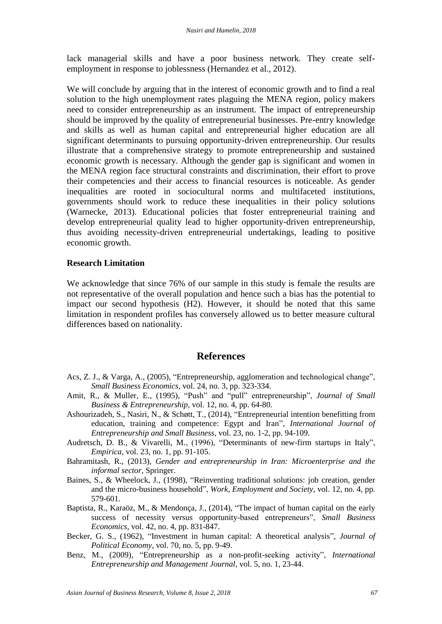lack managerial skills and have a poor business network. They create selfemployment in response to joblessness (Hernandez et al., 2012).

We will conclude by arguing that in the interest of economic growth and to find a real solution to the high unemployment rates plaguing the MENA region, policy makers need to consider entrepreneurship as an instrument. The impact of entrepreneurship should be improved by the quality of entrepreneurial businesses. Pre-entry knowledge and skills as well as human capital and entrepreneurial higher education are all significant determinants to pursuing opportunity-driven entrepreneurship. Our results illustrate that a comprehensive strategy to promote entrepreneurship and sustained economic growth is necessary. Although the gender gap is significant and women in the MENA region face structural constraints and discrimination, their effort to prove their competencies and their access to financial resources is noticeable. As gender inequalities are rooted in sociocultural norms and multifaceted institutions, governments should work to reduce these inequalities in their policy solutions (Warnecke, 2013). Educational policies that foster entrepreneurial training and develop entrepreneurial quality lead to higher opportunity-driven entrepreneurship, thus avoiding necessity-driven entrepreneurial undertakings, leading to positive economic growth.

### **Research Limitation**

We acknowledge that since 76% of our sample in this study is female the results are not representative of the overall population and hence such a bias has the potential to impact our second hypothesis (H2). However, it should be noted that this same limitation in respondent profiles has conversely allowed us to better measure cultural differences based on nationality.

#### **References**

- Acs, Z. J., & Varga, A., (2005), "Entrepreneurship, agglomeration and technological change", *Small Business Economics*, vol. 24, no. 3, pp. 323-334.
- Amit, R., & Muller, E., (1995), "Push" and "pull" entrepreneurship", *Journal of Small Business & Entrepreneurship*, vol. 12, no. 4, pp. 64-80.
- Ashourizadeh, S., Nasiri, N., & Schøtt, T., (2014), "Entrepreneurial intention benefitting from education, training and competence: Egypt and Iran<sup>"</sup>, *International Journal of Entrepreneurship and Small Business*, vol. 23, no. 1-2, pp. 94-109.
- Audretsch, D. B., & Vivarelli, M., (1996), "Determinants of new-firm startups in Italy", *Empirica*, vol. 23, no. 1, pp. 91-105.
- Bahramitash, R., (2013), *Gender and entrepreneurship in Iran: Microenterprise and the informal sector*, Springer.
- Baines, S., & Wheelock, J., (1998), "Reinventing traditional solutions: job creation, gender and the micro-business household", *Work, Employment and Society*, vol. 12, no. 4, pp. 579-601.
- Baptista, R., Karaöz, M., & Mendonça, J., (2014), "The impact of human capital on the early success of necessity versus opportunity-based entrepreneurs", *Small Business Economics*, vol. 42, no. 4, pp. 831-847.
- Becker, G. S., (1962), "Investment in human capital: A theoretical analysis", *Journal of Political Economy*, vol. 70, no. 5, pp. 9-49.
- Benz, M., (2009), "Entrepreneurship as a non-profit-seeking activity", *International Entrepreneurship and Management Journal*, vol. 5, no. 1, 23-44.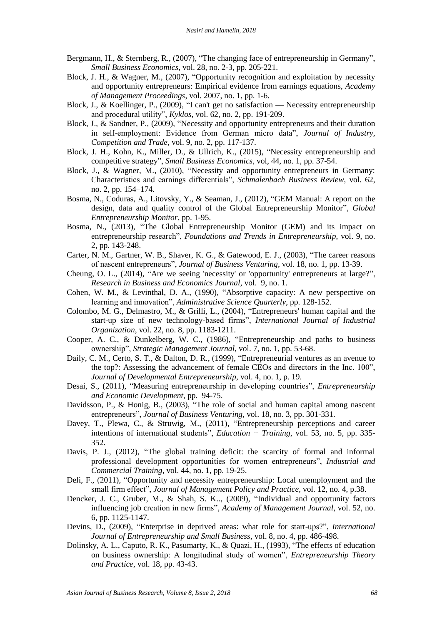- Bergmann, H., & Sternberg, R.,  $(2007)$ , "The changing face of entrepreneurship in Germany", *Small Business Economics*, vol. 28, no. 2-3, pp. 205-221.
- Block, J. H., & Wagner, M., (2007), "Opportunity recognition and exploitation by necessity and opportunity entrepreneurs: Empirical evidence from earnings equations, *Academy of Management Proceedings*, vol. 2007, no. 1, pp. 1-6.
- Block, J., & Koellinger, P.,  $(2009)$ , "I can't get no satisfaction Necessity entrepreneurship and procedural utility", *Kyklos*, vol. 62, no. 2, pp. 191-209.
- Block, J., & Sandner, P., (2009), "Necessity and opportunity entrepreneurs and their duration in self-employment: Evidence from German micro data", *Journal of Industry*, *Competition and Trade*, vol. 9, no. 2, pp. 117-137.
- Block, J. H., Kohn, K., Miller, D., & Ullrich, K., (2015), "Necessity entrepreneurship and competitive strategy", *Small Business Economics*, vol, 44, no. 1, pp. 37-54.
- Block, J., & Wagner, M., (2010), "Necessity and opportunity entrepreneurs in Germany: Characteristics and earnings differentials‖, *Schmalenbach Business Review*, vol. 62, no. 2, pp. 154–174.
- Bosma, N., Coduras, A., Litovsky, Y., & Seaman, J., (2012), "GEM Manual: A report on the design, data and quality control of the Global Entrepreneurship Monitor", *Global Entrepreneurship Monitor*, pp. 1-95.
- Bosma, N., (2013), "The Global Entrepreneurship Monitor (GEM) and its impact on entrepreneurship research", *Foundations and Trends in Entrepreneurship*, vol. 9, no. 2, pp. 143-248.
- Carter, N. M., Gartner, W. B., Shaver, K. G., & Gatewood, E. J., (2003), "The career reasons of nascent entrepreneurs", *Journal of Business Venturing*, vol. 18, no. 1, pp. 13-39.
- Cheung, O. L., (2014), "Are we seeing 'necessity' or 'opportunity' entrepreneurs at large?", *Research in Business and Economics Journal*, vol. 9, no. 1.
- Cohen, W. M., & Levinthal, D. A., (1990), "Absorptive capacity: A new perspective on learning and innovation", *Administrative Science Quarterly*, pp. 128-152.
- Colombo, M. G., Delmastro, M., & Grilli, L., (2004), "Entrepreneurs' human capital and the start-up size of new technology-based firms", *International Journal of Industrial Organization*, vol. 22, no. 8, pp. 1183-1211.
- Cooper, A. C., & Dunkelberg, W. C., (1986), "Entrepreneurship and paths to business ownership", *Strategic Management Journal*, vol. 7, no. 1, pp. 53-68.
- Daily, C. M., Certo, S. T., & Dalton, D. R., (1999), "Entrepreneurial ventures as an avenue to the top?: Assessing the advancement of female CEOs and directors in the Inc. 100", *Journal of Developmental Entrepreneurship*, vol. 4, no. 1, p. 19.
- Desai, S., (2011), "Measuring entrepreneurship in developing countries", *Entrepreneurship and Economic Development*, pp. 94-75.
- Davidsson, P., & Honig, B.,  $(2003)$ , "The role of social and human capital among nascent entrepreneurs", *Journal of Business Venturing*, vol. 18, no. 3, pp. 301-331.
- Davey, T., Plewa, C., & Struwig, M., (2011), "Entrepreneurship perceptions and career intentions of international students", *Education + Training*, vol. 53, no. 5, pp. 335-352.
- Davis, P. J., (2012), "The global training deficit: the scarcity of formal and informal professional development opportunities for women entrepreneurs‖, *Industrial and Commercial Training*, vol. 44, no. 1, pp. 19-25.
- Deli, F., (2011), "Opportunity and necessity entrepreneurship: Local unemployment and the small firm effect", *Journal of Management Policy and Practice*, vol. 12, no. 4, p.38.
- Dencker, J. C., Gruber, M., & Shah, S. K.., (2009), "Individual and opportunity factors influencing job creation in new firms", *Academy of Management Journal*, vol. 52, no. 6, pp. 1125-1147.
- Devins, D., (2009), "Enterprise in deprived areas: what role for start-ups?", *International Journal of Entrepreneurship and Small Business*, vol. 8, no. 4, pp. 486-498.
- Dolinsky, A. L., Caputo, R. K., Pasumarty, K., & Quazi, H., (1993), "The effects of education on business ownership: A longitudinal study of women", *Entrepreneurship Theory and Practice*, vol. 18, pp. 43-43.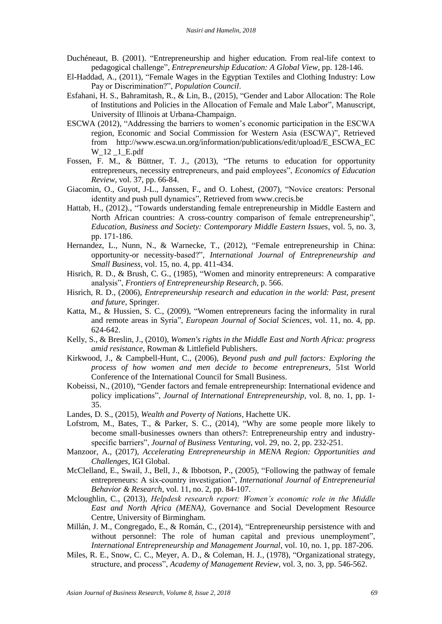- Duch éneaut, B. (2001). "Entrepreneurship and higher education. From real-life context to pedagogical challenge", *Entrepreneurship Education: A Global View*, pp. 128-146.
- El-Haddad, A., (2011), "Female Wages in the Egyptian Textiles and Clothing Industry: Low Pay or Discrimination?", *Population Council*.
- Esfahani, H. S., Bahramitash, R., & Lin, B., (2015), "Gender and Labor Allocation: The Role of Institutions and Policies in the Allocation of Female and Male Labor", Manuscript, University of Illinois at Urbana-Champaign.
- ESCWA (2012), "Addressing the barriers to women's economic participation in the ESCWA region, Economic and Social Commission for Western Asia (ESCWA)", Retrieved from http://www.escwa.un.org/information/publications/edit/upload/E\_ESCWA\_EC W\_12 \_1\_E.pdf
- Fossen, F. M.,  $\&$  Büttner, T. J., (2013), "The returns to education for opportunity entrepreneurs, necessity entrepreneurs, and paid employees", *Economics of Education Review*, vol. 37, pp. 66-84.
- Giacomin, O., Guyot, J-L., Janssen, F., and O. Lohest, (2007), "Novice creators: Personal identity and push pull dynamics", Retrieved from www.crecis.be
- Hattab, H., (2012)., "Towards understanding female entrepreneurship in Middle Eastern and North African countries: A cross-country comparison of female entrepreneurship", *Education, Business and Society: Contemporary Middle Eastern Issues*, vol. 5, no. 3, pp. 171-186.
- Hernandez, L., Nunn, N., & Warnecke, T., (2012), "Female entrepreneurship in China: opportunity-or necessity-based?‖, *International Journal of Entrepreneurship and Small Business*, vol. 15, no. 4, pp. 411-434.
- Hisrich, R. D., & Brush, C. G., (1985), "Women and minority entrepreneurs: A comparative analysis‖, *Frontiers of Entrepreneurship Research,* p. 566.
- Hisrich, R. D., (2006), *Entrepreneurship research and education in the world: Past, present and future*, Springer.
- Katta, M., & Hussien, S. C., (2009), "Women entrepreneurs facing the informality in rural and remote areas in Syria", *European Journal of Social Sciences*, vol. 11, no. 4, pp. 624-642.
- Kelly, S., & Breslin, J., (2010), *Women's rights in the Middle East and North Africa: progress amid resistance*, Rowman & Littlefield Publishers.
- Kirkwood, J., & Campbell-Hunt, C., (2006), *Beyond push and pull factors: Exploring the process of how women and men decide to become entrepreneurs*, 51st World Conference of the International Council for Small Business.
- Kobeissi, N., (2010), "Gender factors and female entrepreneurship: International evidence and policy implications", *Journal of International Entrepreneurship*, vol. 8, no. 1, pp. 1-35.
- Landes, D. S., (2015), *Wealth and Poverty of Nations*, Hachette UK.
- Lofstrom, M., Bates, T., & Parker, S. C.,  $(2014)$ , "Why are some people more likely to become small-businesses owners than others?: Entrepreneurship entry and industryspecific barriers", *Journal of Business Venturing*, vol. 29, no. 2, pp. 232-251.
- Manzoor, A., (2017), *Accelerating Entrepreneurship in MENA Region: Opportunities and Challenges*, IGI Global.
- McClelland, E., Swail, J., Bell, J., & Ibbotson, P., (2005), "Following the pathway of female entrepreneurs: A six-country investigation", *International Journal of Entrepreneurial Behavior & Research*, vol. 11, no. 2, pp. 84-107.
- Mcloughlin, C., (2013), *Helpdesk research report: Women's economic role in the Middle East and North Africa (MENA)*, Governance and Social Development Resource Centre, University of Birmingham.
- Millán, J. M., Congregado, E., & Román, C., (2014), "Entrepreneurship persistence with and without personnel: The role of human capital and previous unemployment", *International Entrepreneurship and Management Journal*, vol. 10, no. 1, pp. 187-206.
- Miles, R. E., Snow, C. C., Meyer, A. D., & Coleman, H. J., (1978), "Organizational strategy, structure, and process", *Academy of Management Review*, vol. 3, no. 3, pp. 546-562.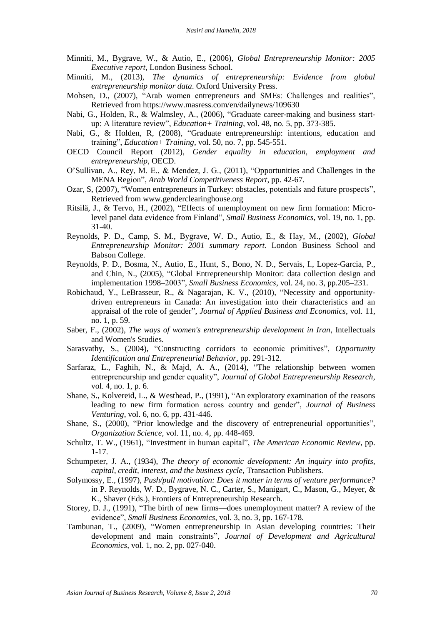- Minniti, M., Bygrave, W., & Autio, E., (2006), *Global Entrepreneurship Monitor: 2005 Executive report*, London Business School.
- Minniti, M., (2013), *The dynamics of entrepreneurship: Evidence from global entrepreneurship monitor data*. Oxford University Press.
- Mohsen, D., (2007), "Arab women entrepreneurs and SMEs: Challenges and realities", Retrieved from https://www.masress.com/en/dailynews/109630
- Nabi, G., Holden, R., & Walmsley, A., (2006), "Graduate career-making and business startup: A literature review", *Education+ Training*, vol. 48, no. 5, pp. 373-385.
- Nabi, G., & Holden, R, (2008), "Graduate entrepreneurship: intentions, education and training‖, *Education+ Training*, vol. 50, no. 7, pp. 545-551.
- OECD Council Report (2012), *Gender equality in education, employment and entrepreneurship*, OECD.
- O'Sullivan, A., Rey, M. E., & Mendez, J. G., (2011), "Opportunities and Challenges in the MENA Region", *Arab World Competitiveness Report*, pp. 42-67.
- Ozar, S, (2007), "Women entrepreneurs in Turkey: obstacles, potentials and future prospects", Retrieved from www.genderclearinghouse.org
- Ritsilä, J., & Tervo, H., (2002), "Effects of unemployment on new firm formation: Microlevel panel data evidence from Finland", *Small Business Economics*, vol. 19, no. 1, pp. 31-40.
- Reynolds, P. D., Camp, S. M., Bygrave, W. D., Autio, E., & Hay, M., (2002), *Global Entrepreneurship Monitor: 2001 summary report*. London Business School and Babson College.
- Reynolds, P. D., Bosma, N., Autio, E., Hunt, S., Bono, N. D., Servais, I., Lopez-Garcia, P., and Chin, N., (2005), "Global Entrepreneurship Monitor: data collection design and implementation 1998–2003", *Small Business Economics*, vol. 24, no. 3, pp.205–231.
- Robichaud, Y., LeBrasseur, R., & Nagarajan, K. V., (2010), "Necessity and opportunitydriven entrepreneurs in Canada: An investigation into their characteristics and an appraisal of the role of gender", *Journal of Applied Business and Economics*, vol. 11, no. 1, p. 59.
- Saber, F., (2002), *The ways of women's entrepreneurship development in Iran*, Intellectuals and Women's Studies.
- Sarasvathy, S., (2004), "Constructing corridors to economic primitives", Opportunity *Identification and Entrepreneurial Behavior*, pp. 291-312.
- Sarfaraz, L., Faghih, N., & Majd, A. A., (2014), "The relationship between women entrepreneurship and gender equality", *Journal of Global Entrepreneurship Research*, vol. 4, no. 1, p. 6.
- Shane, S., Kolvereid, L., & Westhead, P., (1991), "An exploratory examination of the reasons leading to new firm formation across country and gender", *Journal of Business Venturing*, vol. 6, no. 6, pp. 431-446.
- Shane, S., (2000), "Prior knowledge and the discovery of entrepreneurial opportunities", *Organization Science,* vol. 11, no. 4, pp. 448-469.
- Schultz, T. W., (1961), "Investment in human capital", *The American Economic Review*, pp. 1-17.
- Schumpeter, J. A., (1934), *The theory of economic development: An inquiry into profits, capital, credit, interest, and the business cycle*, Transaction Publishers.
- Solymossy, E., (1997), *Push/pull motivation: Does it matter in terms of venture performance?* in P. Reynolds, W. D., Bygrave, N. C., Carter, S., Manigart, C., Mason, G., Meyer, & K., Shaver (Eds.), Frontiers of Entrepreneurship Research.
- Storey, D. J., (1991), "The birth of new firms—does unemployment matter? A review of the evidence", *Small Business Economics*, vol. 3, no. 3, pp. 167-178.
- Tambunan, T., (2009), "Women entrepreneurship in Asian developing countries: Their development and main constraints", *Journal of Development and Agricultural Economics*, vol. 1, no. 2, pp. 027-040.